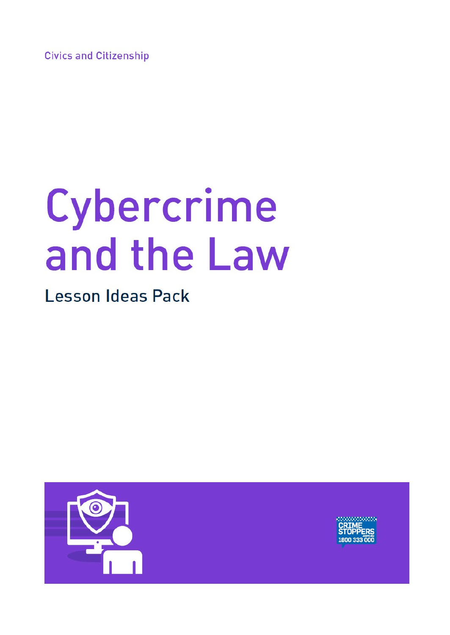**Civics and Citizenship** 

# Cybercrime and the Law

**Lesson Ideas Pack** 

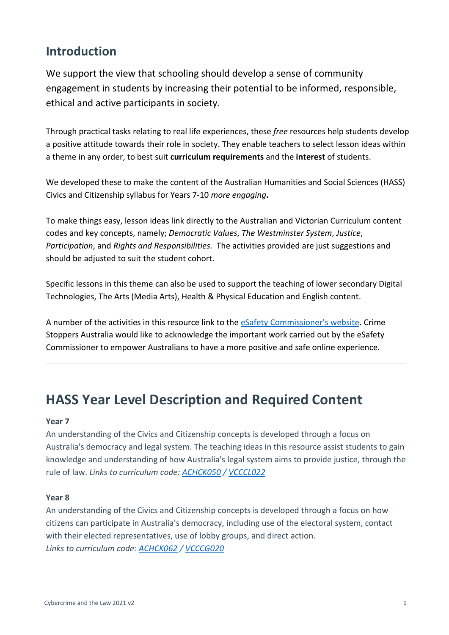# **Introduction**

We support the view that schooling should develop a sense of community engagement in students by increasing their potential to be informed, responsible, ethical and active participants in society.

Through practical tasks relating to real life experiences, these *free* resources help students develop a positive attitude towards their role in society. They enable teachers to select lesson ideas within a theme in any order, to best suit **curriculum requirements** and the **interest** of students.

We developed these to make the content of the Australian Humanities and Social Sciences (HASS) Civics and Citizenship syllabus for Years 7-10 *more engaging***.**

To make things easy, lesson ideas link directly to the Australian and Victorian Curriculum content codes and key concepts, namely; *Democratic Values*, *The Westminster System*, *Justice*, *Participation*, and *Rights and Responsibilities.* The activities provided are just suggestions and should be adjusted to suit the student cohort.

Specific lessons in this theme can also be used to support the teaching of lower secondary Digital Technologies, The Arts (Media Arts), Health & Physical Education and English content.

A number of the activities in this resource link to the [eSafety Commissioner's website.](https://www.esafety.gov.au/educators) Crime Stoppers Australia would like to acknowledge the important work carried out by the eSafety Commissioner to empower Australians to have a more positive and safe online experience.

# **HASS Year Level Description and Required Content**

## **Year 7**

An understanding of the Civics and Citizenship concepts is developed through a focus on Australia's democracy and legal system. The teaching ideas in this resource assist students to gain knowledge and understanding of how Australia's legal system aims to provide justice, through the rule of law. *Links to curriculum code: [ACHCK050](http://www.scootle.edu.au/ec/search?accContentId=ACHCK050) / [VCCCL022](https://victoriancurriculum.vcaa.vic.edu.au/Curriculum/ContentDescription/VCCCL022)*

## **Year 8**

An understanding of the Civics and Citizenship concepts is developed through a focus on how citizens can participate in Australia's democracy, including use of the electoral system, contact with their elected representatives, use of lobby groups, and direct action. *Links to curriculum code: [ACHCK062](http://www.scootle.edu.au/ec/search?accContentId=ACHCK062) / [VCCCG020](https://victoriancurriculum.vcaa.vic.edu.au/Curriculum/ContentDescription/VCCCG020)*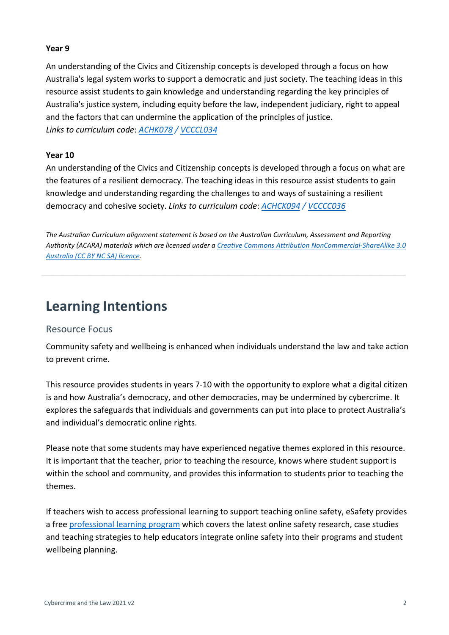## **Year 9**

An understanding of the Civics and Citizenship concepts is developed through a focus on how Australia's legal system works to support a democratic and just society. The teaching ideas in this resource assist students to gain knowledge and understanding regarding the key principles of Australia's justice system, including equity before the law, independent judiciary, right to appeal and the factors that can undermine the application of the principles of justice. *Links to curriculum code*: *[ACHK078](http://www.scootle.edu.au/ec/search?accContentId=ACHCK078) / [VCCCL034](https://victoriancurriculum.vcaa.vic.edu.au/Curriculum/ContentDescription/VCCCL034)*

#### **Year 10**

An understanding of the Civics and Citizenship concepts is developed through a focus on what are the features of a resilient democracy. The teaching ideas in this resource assist students to gain knowledge and understanding regarding the challenges to and ways of sustaining a resilient democracy and cohesive society. *Links to curriculum code*: *[ACHCK094](http://www.scootle.edu.au/ec/search?accContentId=ACHCK094) / [VCCCC036](https://victoriancurriculum.vcaa.vic.edu.au/Curriculum/ContentDescription/VCCCC036)*

*The Australian Curriculum alignment statement is based on the Australian Curriculum, Assessment and Reporting Authority (ACARA) materials which are licensed under a [Creative Commons Attribution NonCommercial-ShareAlike 3.0](https://creativecommons.org/licenses/by-nc-sa/3.0/au/)  [Australia \(CC BY NC SA\) licence.](https://creativecommons.org/licenses/by-nc-sa/3.0/au/)*

# **Learning Intentions**

## Resource Focus

Community safety and wellbeing is enhanced when individuals understand the law and take action to prevent crime.

This resource provides students in years 7-10 with the opportunity to explore what a digital citizen is and how Australia's democracy, and other democracies, may be undermined by cybercrime. It explores the safeguards that individuals and governments can put into place to protect Australia's and individual's democratic online rights.

Please note that some students may have experienced negative themes explored in this resource. It is important that the teacher, prior to teaching the resource, knows where student support is within the school and community, and provides this information to students prior to teaching the themes.

If teachers wish to access professional learning to support teaching online safety, eSafety provides a free [professional learning program](https://www.esafety.gov.au/educators/training-for-professionals/teachers-professional-learning-program) which covers the latest online safety research, case studies and teaching strategies to help educators integrate online safety into their programs and student wellbeing planning.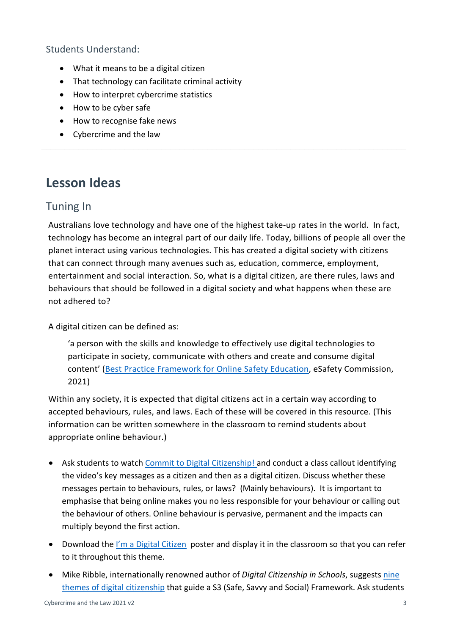# Students Understand:

- What it means to be a digital citizen
- That technology can facilitate criminal activity
- How to interpret cybercrime statistics
- How to be cyber safe
- How to recognise fake news
- Cybercrime and the law

# **Lesson Ideas**

# Tuning In

Australians love technology and have one of the highest take-up rates in the world. In fact, technology has become an integral part of our daily life. Today, billions of people all over the planet interact using various technologies. This has created a digital society with citizens that can connect through many avenues such as, education, commerce, employment, entertainment and social interaction. So, what is a digital citizen, are there rules, laws and behaviours that should be followed in a digital society and what happens when these are not adhered to?

 $\_$  , and the set of the set of the set of the set of the set of the set of the set of the set of the set of the set of the set of the set of the set of the set of the set of the set of the set of the set of the set of th

A digital citizen can be defined as:

'a person with the skills and knowledge to effectively use digital technologies to participate in society, communicate with others and create and consume digital content' [\(Best Practice Framework for Online Safety Education,](https://www.esafety.gov.au/about-us/research/best-practice-framework-for-online-safety-education) eSafety Commission, 2021)

Within any society, it is expected that digital citizens act in a certain way according to accepted behaviours, rules, and laws. Each of these will be covered in this resource. (This information can be written somewhere in the classroom to remind students about appropriate online behaviour.)

- Ask students to watch [Commit to Digital Citizenship! a](https://www.youtube.com/watch?v=15zvAiGeW_E&feature=emb_logo)nd conduct a class callout identifying the video's key messages as a citizen and then as a digital citizen. Discuss whether these messages pertain to behaviours, rules, or laws? (Mainly behaviours). It is important to emphasise that being online makes you no less responsible for your behaviour or calling out the behaviour of others. Online behaviour is pervasive, permanent and the impacts can multiply beyond the first action.
- Download th[e I'm a Digital Citizen](https://cdn.iste.org/www-root/PDF/ISTE_DigCitCommit_Poster_08-2019_11x17_vf.pdf?_ga=2.188579048.1358621759.1612599485-1009253407.1612599485) poster and display it in the classroom so that you can refer to it throughout this theme.
- Mike Ribble, internationally renowned author of *Digital Citizenship in Schools*, suggests [nine](https://www.digitalcitizenship.net/nine-elements.html)  [themes of digital citizenship](https://www.digitalcitizenship.net/nine-elements.html) that guide a S3 (Safe, Savvy and Social) Framework. Ask students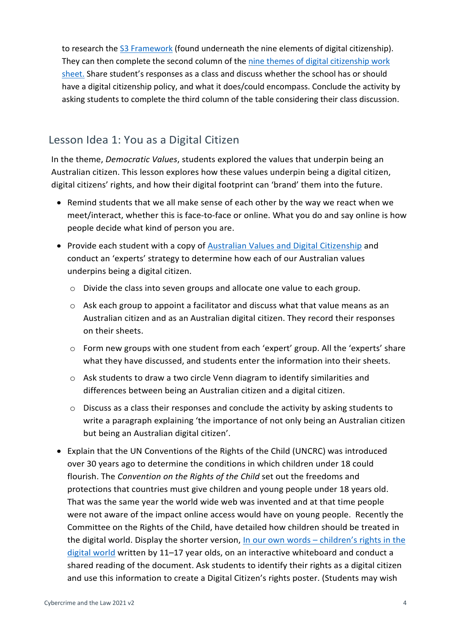to research the [S3 Framework](https://www.digitalcitizenship.net/nine-elements.html) (found underneath the nine elements of digital citizenship). They can then complete the second column of the [nine themes of digital citizenship work](https://www.crimestopperswa.com.au/cswp/wp-content/uploads/2021/06/Nine-themes-of-Digital-Citizenship.pdf) [sheet.](https://www.crimestopperswa.com.au/cswp/wp-content/uploads/2021/06/Nine-themes-of-Digital-Citizenship.pdf) Share student's responses as a class and discuss whether the school has or should have a digital citizenship policy, and what it does/could encompass. Conclude the activity by asking students to complete the third column of the table considering their class discussion.

# Lesson Idea 1: You as a Digital Citizen

In the theme, *Democratic Values*, students explored the values that underpin being an Australian citizen. This lesson explores how these values underpin being a digital citizen, digital citizens' rights, and how their digital footprint can 'brand' them into the future.

- Remind students that we all make sense of each other by the way we react when we meet/interact, whether this is face-to-face or online. What you do and say online is how people decide what kind of person you are.
- Provide each student with a copy of **Australian Values and Digital Citizenship** and conduct an 'experts' strategy to determine how each of our Australian values underpins being a digital citizen.
	- o Divide the class into seven groups and allocate one value to each group.
	- o Ask each group to appoint a facilitator and discuss what that value means as an Australian citizen and as an Australian digital citizen. They record their responses on their sheets.
	- o Form new groups with one student from each 'expert' group. All the 'experts' share what they have discussed, and students enter the information into their sheets.
	- $\circ$  Ask students to draw a two circle Venn diagram to identify similarities and differences between being an Australian citizen and a digital citizen.
	- o Discuss as a class their responses and conclude the activity by asking students to write a paragraph explaining 'the importance of not only being an Australian citizen but being an Australian digital citizen'.
- Explain that the UN Conventions of the Rights of the Child (UNCRC) was introduced over 30 years ago to determine the conditions in which children under 18 could flourish. The *Convention on the Rights of the Child* set out the freedoms and protections that countries must give children and young people under 18 years old. That was the same year the world wide web was invented and at that time people were not aware of the impact online access would have on young people. Recently the Committee on the Rights of the Child, have detailed how children should be treated in the digital world. Display the shorter version, In our own words - children's rights in the [digital world](https://5rightsfoundation.com/In_Our_Own_Words_Young_Peoples_Version_Online.pdf) written by 11-17 year olds, on an interactive whiteboard and conduct a shared reading of the document. Ask students to identify their rights as a digital citizen and use this information to create a Digital Citizen's rights poster. (Students may wish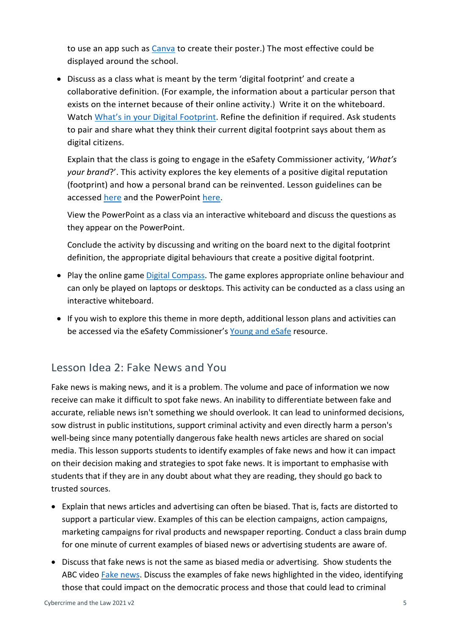to use an app such as [Canva](https://www.canva.com/create/posters/) to create their poster.) The most effective could be displayed around the school.

• Discuss as a class what is meant by the term 'digital footprint' and create a collaborative definition. (For example, the information about a particular person that exists on the internet because of their online activity.) Write it on the whiteboard. Watch What's in [your Digital](https://www.commonsense.org/education/uk/digital-citizenship/lesson/the-power-of-digital-footprints) Footprint. Refine the definition if required. Ask students to pair and share what they think their current digital footprint says about them as digital citizens.

Explain that the class is going to engage in the eSafety Commissioner activity, '*What's your brand*?'. This activity explores the key elements of a positive digital reputation (footprint) and how a personal brand can be reinvented. Lesson guidelines can be accessed [here](https://www.esafety.gov.au/sites/default/files/2020-01/OESC-Whats-your-brand-resource.pdf) and the PowerPoint [here.](https://www.esafety.gov.au/sites/default/files/2020-01/Slides.pdf)

View the PowerPoint as a class via an interactive whiteboard and discuss the questions as they appear on the PowerPoint.

Conclude the activity by discussing and writing on the board next to the digital footprint definition, the appropriate digital behaviours that create a positive digital footprint.

- Play the online game [Digital Compass.](https://www.digitalcompass.org/) The game explores appropriate online behaviour and can only be played on laptops or desktops. This activity can be conducted as a class using an interactive whiteboard.
- If you wish to explore this theme in more depth, additional lesson plans and activities can be accessed via the eSafety Commissioner's [Young and eSafe](https://www.esafety.gov.au/educators/classroom-resources/young-and-esafe) resource.

# Lesson Idea 2: Fake News and You

Fake news is making news, and it is a problem. The volume and pace of information we now receive can make it difficult to spot fake news. An inability to differentiate between fake and accurate, reliable news isn't something we should overlook. It can lead to uninformed decisions, sow distrust in public institutions, support criminal activity and even directly harm a person's well-being since many potentially dangerous fake health news articles are shared on social media. This lesson supports students to identify examples of fake news and how it can impact on their decision making and strategies to spot fake news. It is important to emphasise with students that if they are in any doubt about what they are reading, they should go back to trusted sources.

- Explain that news articles and advertising can often be biased. That is, facts are distorted to support a particular view. Examples of this can be election campaigns, action campaigns, marketing campaigns for rival products and newspaper reporting. Conduct a class brain dump for one minute of current examples of biased news or advertising students are aware of.
- Discuss that fake news is not the same as biased media or advertising. Show students the ABC video [Fake news.](https://www.abc.net.au/education/media-literacy/fake-news/10055648) Discuss the examples of fake news highlighted in the video, identifying those that could impact on the democratic process and those that could lead to criminal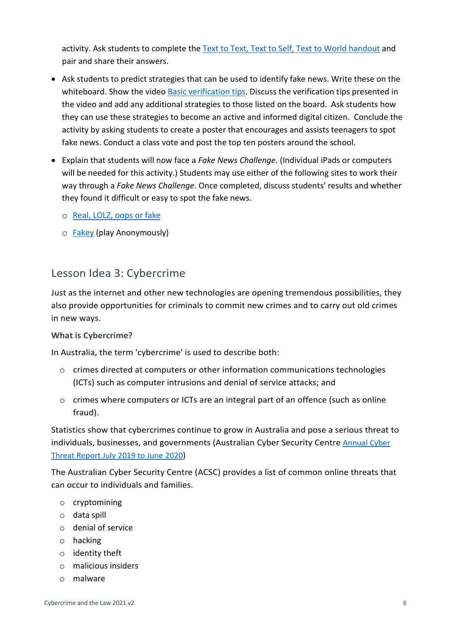activity. Ask students to complete the [Text to Text, Text to Self, Text to World handout](https://www.crimestopperswa.com.au/cswp/wp-content/uploads/2021/06/Text-to-Text-Text-to-Self-Text-to-World-1.pdf) and pair and share their answers.

- Ask students to predict strategies that can be used to identify fake news. Write these on the whiteboard. Show the video [Basic verification tips.](https://www.abc.net.au/education/media-literacy/del_irani-on-verification/10052010) Discuss the verification tips presented in the video and add any additional strategies to those listed on the board. Ask students how they can use these strategies to become an active and informed digital citizen. Conclude the activity by asking students to create a poster that encourages and assists teenagers to spot fake news. Conduct a class vote and post the top ten posters around the school.
- Explain that students will now face a *Fake News Challenge*. (Individual iPads or computers will be needed for this activity.) Students may use either of the following sites to work their way through a *Fake News Challenge*. Once completed, discuss students' results and whether they found it difficult or easy to spot the fake news.
	- o [Real, LOLZ, oops or fake](https://education.abc.net.au/res/media-literacy/fake-news/2018/index.html)
	- o [Fakey](https://fakey.osome.iu.edu/) (play Anonymously)

# Lesson Idea 3: Cybercrime

Just as the internet and other new technologies are opening tremendous possibilities, they also provide opportunities for criminals to commit new crimes and to carry out old crimes in new ways.

# **What is Cybercrime?**

In Australia, the term 'cybercrime' is used to describe both:

- $\circ$  crimes directed at computers or other information communications technologies (ICTs) such as computer intrusions and denial of service attacks; and
- o crimes where computers or ICTs are an integral part of an offence (such as online fraud).

Statistics show that cybercrimes continue to grow in Australia and pose a serious threat to individuals, businesses, and governments (Australian Cyber Security Centre [Annual Cyber](https://www.cyber.gov.au/acsc/view-all-content/reports-and-statistics/acsc-annual-cyber-threat-report-july-2019-june-2020)  [Threat Report July 2019 to June 2020\)](https://www.cyber.gov.au/acsc/view-all-content/reports-and-statistics/acsc-annual-cyber-threat-report-july-2019-june-2020)

The Australian Cyber Security Centre (ACSC) provides a list of common online threats that can occur to individuals and families.

- o cryptomining
- o data spill
- o denial of service
- o hacking
- o identity theft
- o malicious insiders
- o malware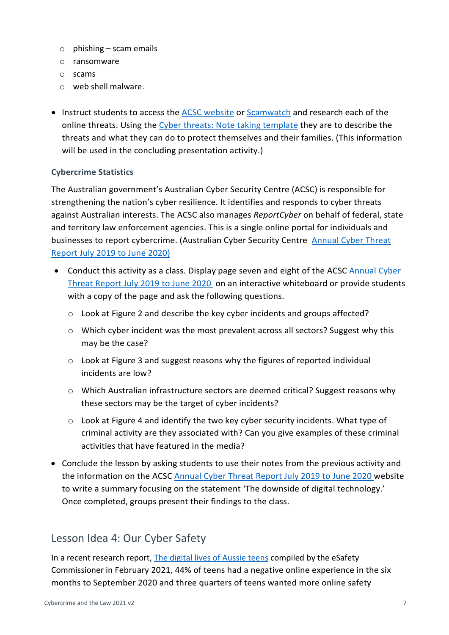- $\circ$  phishing scam emails
- o ransomware
- o scams
- o web shell malware.
- Instruct students to access the [ACSC website](https://www.cyber.gov.au/acsc/individuals-and-families/threats) or [Scamwatch](https://www.scamwatch.gov.au/) and research each of the online threats. Using the [Cyber threats: Note](https://www.crimestopperswa.com.au/cswp/wp-content/uploads/2021/06/Cyber-threats-note-taking.pdf) taking template they are to describe the threats and what they can do to protect themselves and their families. (This information will be used in the concluding presentation activity.)

# **Cybercrime Statistics**

The Australian government's Australian Cyber Security Centre (ACSC) is responsible for strengthening the nation's cyber resilience. It identifies and responds to cyber threats against Australian interests. The ACSC also manages *ReportCyber* on behalf of federal, state and territory law enforcement agencies. This is a single online portal for individuals and businesses to report cybercrime. (Australian Cyber Security Centre [Annual Cyber Threat](https://www.cyber.gov.au/acsc/view-all-content/reports-and-statistics/acsc-annual-cyber-threat-report-july-2019-june-2020)  [Report July 2019](https://www.cyber.gov.au/acsc/view-all-content/reports-and-statistics/acsc-annual-cyber-threat-report-july-2019-june-2020) to June 2020)

- Conduct this activity as a class. Display page seven and eight of the ACSC Annual Cyber [Threat Report July 2019](https://www.cyber.gov.au/acsc/view-all-content/reports-and-statistics/acsc-annual-cyber-threat-report-july-2019-june-2020) to June 2020 on an interactive whiteboard or provide students with a copy of the page and ask the following questions.
	- o Look at Figure 2 and describe the key cyber incidents and groups affected?
	- o Which cyber incident was the most prevalent across all sectors? Suggest why this may be the case?
	- o Look at Figure 3 and suggest reasons why the figures of reported individual incidents are low?
	- o Which Australian infrastructure sectors are deemed critical? Suggest reasons why these sectors may be the target of cyber incidents?
	- $\circ$  Look at Figure 4 and identify the two key cyber security incidents. What type of criminal activity are they associated with? Can you give examples of these criminal activities that have featured in the media?
- Conclude the lesson by asking students to use their notes from the previous activity and the information on the ACSC [Annual Cyber Threat Report July 2019 to June 2020](https://www.cyber.gov.au/acsc/view-all-content/reports-and-statistics/acsc-annual-cyber-threat-report-july-2019-june-2020) website to write a summary focusing on the statement 'The downside of digital technology.' Once completed, groups present their findings to the class.

# Lesson Idea 4: Our Cyber Safety

In a recent research report, [The digital lives of Aussie teens](https://www.esafety.gov.au/sites/default/files/2021-02/The%20digital%20lives%20of%20Aussie%20teens.pdf) compiled by the eSafety Commissioner in February 2021, 44% of teens had a negative online experience in the six months to September 2020 and three quarters of teens wanted more online safety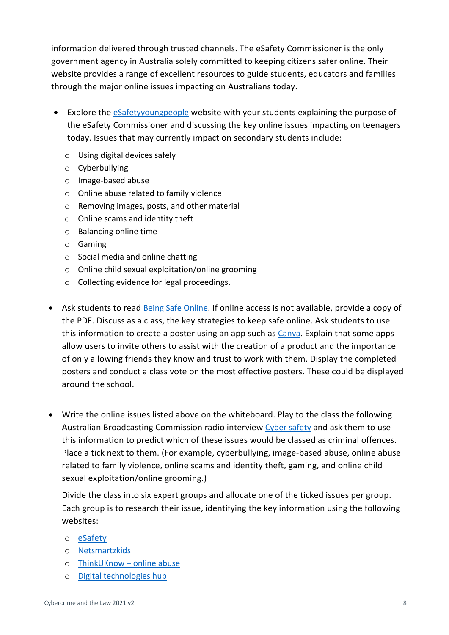information delivered through trusted channels. The eSafety Commissioner is the only government agency in Australia solely committed to keeping citizens safer online. Their website provides a range of excellent resources to guide students, educators and families through the major online issues impacting on Australians today.

- Explore the [eSafetyyoungpeople](https://www.esafety.gov.au/young-people) website with your students explaining the purpose of the eSafety Commissioner and discussing the key online issues impacting on teenagers today. Issues that may currently impact on secondary students include:
	- o Using digital devices safely
	- o Cyberbullying
	- o Image-based abuse
	- o Online abuse related to family violence
	- o Removing images, posts, and other material
	- o Online scams and identity theft
	- o Balancing online time
	- o Gaming
	- o Social media and online chatting
	- o Online child sexual exploitation/online grooming
	- o Collecting evidence for legal proceedings.
- Ask students to read [Being Safe Online.](https://www.esafety.gov.au/sites/default/files/2020-02/Easy%20English-Being%20Safe%20Online.pdf) If online access is not available, provide a copy of the PDF. Discuss as a class, the key strategies to keep safe online. Ask students to use this information to create a poster using an app such as [Canva.](https://www.canva.com/create/posters) Explain that some apps allow users to invite others to assist with the creation of a product and the importance of only allowing friends they know and trust to work with them. Display the completed posters and conduct a class vote on the most effective posters. These could be displayed around the school.
- Write the online issues listed above on the whiteboard. Play to the class the following Australian Broadcasting Commission radio interview [Cyber safety](https://www.abc.net.au/radio/programs/am/cyber-safety/13134766) and ask them to use this information to predict which of these issues would be classed as criminal offences. Place a tick next to them. (For example, cyberbullying, image-based abuse, online abuse related to family violence, online scams and identity theft, gaming, and online child sexual exploitation/online grooming.)

Divide the class into six expert groups and allocate one of the ticked issues per group. Each group is to research their issue, identifying the key information using the following websites:

- o [eSafety](https://www.esafety.gov.au/)
- o [Netsmartzkids](https://www.missingkids.org/netsmartz/topics)
- o [ThinkUKnow –](https://www.thinkuknow.org.au/) online abuse
- o [Digital technologies hub](https://www.digitaltechnologieshub.edu.au/students/cybersafety)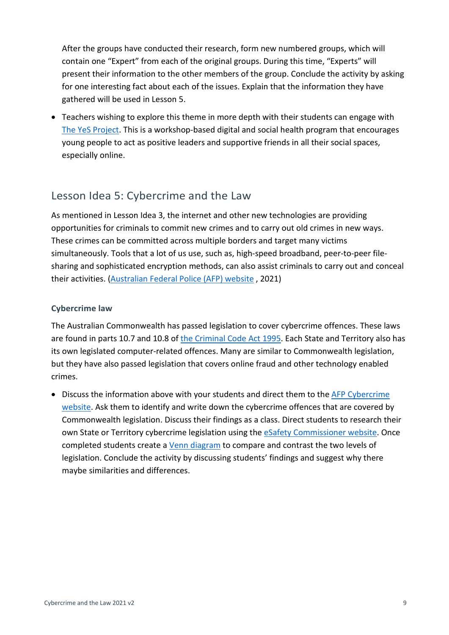After the groups have conducted their research, form new numbered groups, which will contain one "Expert" from each of the original groups. During this time, "Experts" will present their information to the other members of the group. Conclude the activity by asking for one interesting fact about each of the issues. Explain that the information they have gathered will be used in Lesson 5.

• Teachers wishing to explore this theme in more depth with their students can engage with [The YeS Project.](https://www.esafety.gov.au/educators/classroom-resources/yes-project) This is a workshop-based digital and social health program that encourages young people to act as positive leaders and supportive friends in all their social spaces, especially online.

# Lesson Idea 5: Cybercrime and the Law

As mentioned in Lesson Idea 3, the internet and other new technologies are providing opportunities for criminals to commit new crimes and to carry out old crimes in new ways. These crimes can be committed across multiple borders and target many victims simultaneously. Tools that a lot of us use, such as, high-speed broadband, peer-to-peer filesharing and sophisticated encryption methods, can also assist criminals to carry out and conceal their activities. [\(Australian Federal Police \(AFP\) website](https://www.afp.gov.au/what-we-do/crime-types/cyber-crime) , 2021)

# **Cybercrime law**

The Australian Commonwealth has passed legislation to cover cybercrime offences. These laws are found in parts 10.7 and 10.8 of [the Criminal Code Act 1995.](https://www.legislation.gov.au/Details/C2021C00183) Each State and Territory also has its own legislated computer-related offences. Many are similar to Commonwealth legislation, but they have also passed legislation that covers online fraud and other technology enabled crimes.

• Discuss the information above with your students and direct them to the AFP Cybercrime [website.](https://www.afp.gov.au/what-we-do/crime-types/cyber-crime) Ask them to identify and write down the cybercrime offences that are covered by Commonwealth legislation. Discuss their findings as a class. Direct students to research their own State or Territory cybercrime legislation using the **eSafety Commissioner website**. Once completed students create a [Venn diagram](https://www.canva.com/graphs/venn-diagrams/) to compare and contrast the two levels of legislation. Conclude the activity by discussing students' findings and suggest why there maybe similarities and differences.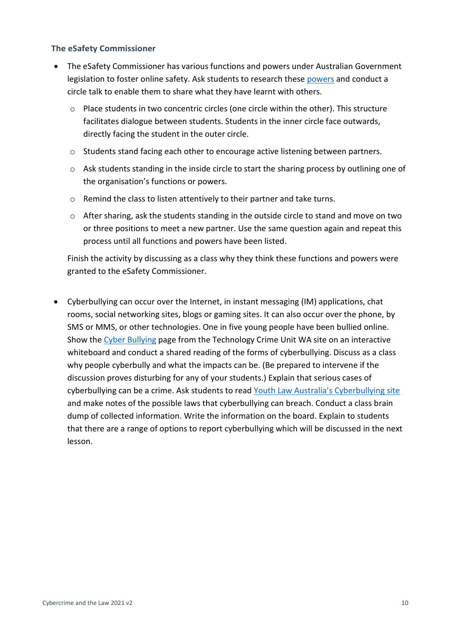## **The eSafety Commissioner**

- The eSafety Commissioner has various functions and powers under Australian Government legislation to foster online safety. Ask students to research these [powers](https://www.esafety.gov.au/about-us/who-we-are/our-legislative-functions) and conduct a circle talk to enable them to share what they have learnt with others.
	- o Place students in two concentric circles (one circle within the other). This structure facilitates dialogue between students. Students in the inner circle face outwards, directly facing the student in the outer circle.
	- $\circ$  Students stand facing each other to encourage active listening between partners.
	- o Ask students standing in the inside circle to start the sharing process by outlining one of the organisation's functions or powers.
	- o Remind the class to listen attentively to their partner and take turns.
	- $\circ$  After sharing, ask the students standing in the outside circle to stand and move on two or three positions to meet a new partner. Use the same question again and repeat this process until all functions and powers have been listed.

Finish the activity by discussing as a class why they think these functions and powers were granted to the eSafety Commissioner.

• Cyberbullying can occur over the Internet, in instant messaging (IM) applications, chat rooms, social networking sites, blogs or gaming sites. It can also occur over the phone, by SMS or MMS, or other technologies. One in five young people have been bullied online. Show the Cyber [Bullying](https://www.police.wa.gov.au/Crime/Technology-crime/Cyber-bullying) page from the Technology Crime Unit WA site on an interactive whiteboard and conduct a shared reading of the forms of cyberbullying. Discuss as a class why people cyberbully and what the impacts can be. (Be prepared to intervene if the discussion proves disturbing for any of your students.) Explain that serious cases of cyberbullying can be a crime. Ask students to read [Youth Law Australia's Cyberbullying site](https://yla.org.au/wa/topics/internet-phones-and-technology/cyber-bullying/) and make notes of the possible laws that cyberbullying can breach. Conduct a class brain dump of collected information. Write the information on the board. Explain to students that there are a range of options to report cyberbullying which will be discussed in the next lesson.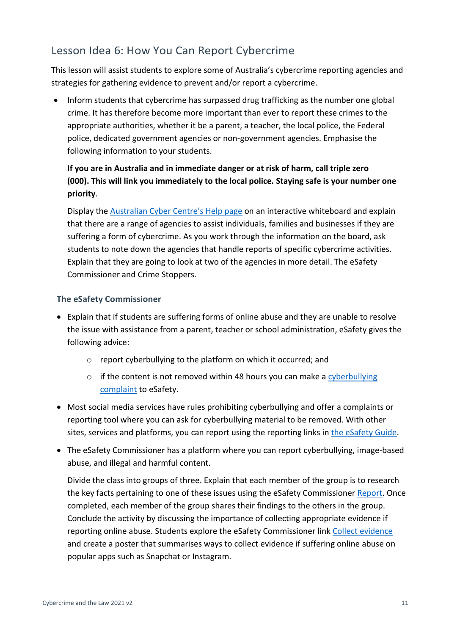# Lesson Idea 6: How You Can Report Cybercrime

This lesson will assist students to explore some of Australia's cybercrime reporting agencies and strategies for gathering evidence to prevent and/or report a cybercrime.

• Inform students that cybercrime has surpassed drug trafficking as the number one global crime. It has therefore become more important than ever to report these crimes to the appropriate authorities, whether it be a parent, a teacher, the local police, the Federal police, dedicated government agencies or non-government agencies. Emphasise the following information to your students.

# **If you are in Australia and in immediate danger or at risk of harm, call triple zero [\(000\)](tel:000). This will link you immediately to the local police. Staying safe is your number one priority**.

Display the [Australian Cyber Centre's Help page](https://www.cyber.gov.au/acsc/report/alternate-help) on an interactive whiteboard and explain that there are a range of agencies to assist individuals, families and businesses if they are suffering a form of cybercrime. As you work through the information on the board, ask students to note down the agencies that handle reports of specific cybercrime activities. Explain that they are going to look at two of the agencies in more detail. The eSafety Commissioner and Crime Stoppers.

# **The eSafety Commissioner**

- Explain that if students are suffering forms of online abuse and they are unable to resolve the issue with assistance from a parent, teacher or school administration, eSafety gives the following advice:
	- o report cyberbullying to the platform on which it occurred; and
	- $\circ$  if the content is not removed within 48 hours you can make a cyberbullying [complaint](https://www.esafety.gov.au/report) to eSafety.
- Most social media services have rules prohibiting cyberbullying and offer a complaints or reporting tool where you can ask for cyberbullying material to be removed. With other sites, services and platforms, you can report using the reporting links in [the eSafety Guide.](https://www.esafety.gov.au/key-issues/esafety-guide)
- The eSafety Commissioner has a platform where you can report cyberbullying, image-based abuse, and illegal and harmful content.

Divide the class into groups of three. Explain that each member of the group is to research the key facts pertaining to one of these issues using the eSafety Commissioner [Report.](https://www.esafety.gov.au/report) Once completed, each member of the group shares their findings to the others in the group. Conclude the activity by discussing the importance of collecting appropriate evidence if reporting online abuse. Students explore the eSafety Commissioner link [Collect evidence](https://www.esafety.gov.au/key-issues/how-to/collect-evidence) and create a poster that summarises ways to collect evidence if suffering online abuse on popular apps such as Snapchat or Instagram.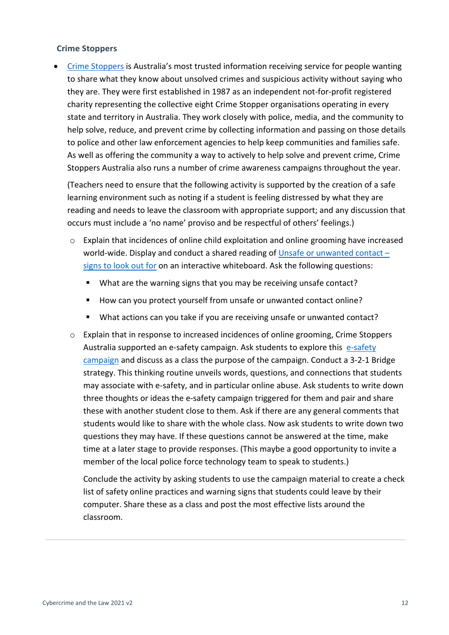#### **Crime Stoppers**

• [Crime Stoppers](https://crimestoppers.com.au/about/) is Australia's most trusted information receiving service for people wanting to share what they know about unsolved crimes and suspicious activity without saying who they are. They were first established in 1987 as an independent not-for-profit registered charity representing the collective eight Crime Stopper organisations operating in every state and territory in Australia. They work closely with police, media, and the community to help solve, reduce, and prevent crime by collecting information and passing on those details to police and other law enforcement agencies to help keep communities and families safe. As well as offering the community a way to actively to help solve and prevent crime, Crime Stoppers Australia also runs a number of crime awareness campaigns throughout the year.

(Teachers need to ensure that the following activity is supported by the creation of a safe learning environment such as noting if a student is feeling distressed by what they are reading and needs to leave the classroom with appropriate support; and any discussion that occurs must include a 'no name' proviso and be respectful of others' feelings.)

- o Explain that incidences of online child exploitation and online grooming have increased world-wide. Display and conduct a shared reading of [Unsafe or unwanted contact –](https://www.esafety.gov.au/young-people/unwanted-contact-signs) [signs to look out for](https://www.esafety.gov.au/young-people/unwanted-contact-signs) on an interactive whiteboard. Ask the following questions:
	- What are the warning signs that you may be receiving unsafe contact?
	- How can you protect yourself from unsafe or unwanted contact online?
	- What actions can you take if you are receiving unsafe or unwanted contact?
- $\circ$  Explain that in response to increased incidences of online grooming, Crime Stoppers Australia supported an [e-safety](https://crimestoppers.com.au/campaign/esafety/) campaign. Ask students to explore this e-safety [campaign](https://crimestoppers.com.au/campaign/esafety/) and discuss as a class the purpose of the campaign. Conduct a 3-2-1 Bridge strategy. This thinking routine unveils words, questions, and connections that students may associate with e-safety, and in particular online abuse. Ask students to write down three thoughts or ideas the e-safety campaign triggered for them and pair and share these with another student close to them. Ask if there are any general comments that students would like to share with the whole class. Now ask students to write down two questions they may have. If these questions cannot be answered at the time, make time at a later stage to provide responses. (This maybe a good opportunity to invite a member of the local police force technology team to speak to students.)

Conclude the activity by asking students to use the campaign material to create a check list of safety online practices and warning signs that students could leave by their computer. Share these as a class and post the most effective lists around the classroom.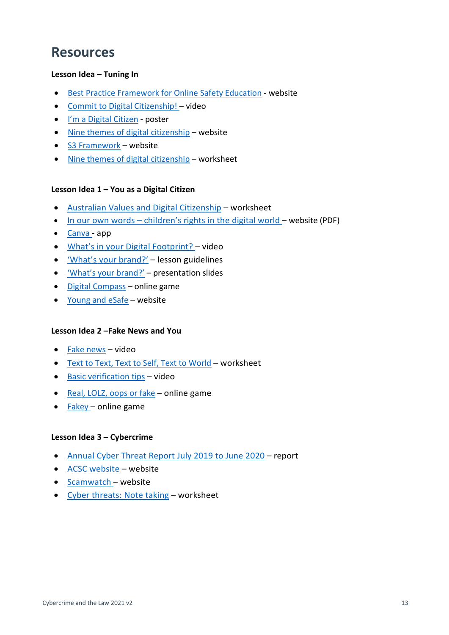# **Resources**

## **Lesson Idea – Tuning In**

- [Best Practice Framework for Online Safety Education](https://www.esafety.gov.au/about-us/research/best-practice-framework-for-online-safety-education) website
- Commit [to Digital Citizenship! –](https://www.youtube.com/watch?v=15zvAiGeW_E&feature=emb_logo) video
- I'm a [Digital Citizen](https://cdn.iste.org/www-root/PDF/ISTE_DigCitCommit_Poster_08-2019_11x17_vf.pdf?_ga=2.188579048.1358621759.1612599485-1009253407.1612599485) poster
- [Nine themes of digital citizenship](https://www.digitalcitizenship.net/nine-elements.html) website
- [S3](https://www.digitalcitizenship.net/nine-elements.html) [Framework](https://www.digitalcitizenship.net/nine-elements.html) website
- [Nine themes of digital citizenship](https://www.crimestopperswa.com.au/cswp/wp-content/uploads/2021/06/Nine-themes-of-Digital-Citizenship.pdf) worksheet

## **Lesson Idea 1 – You as a Digital Citizen**

- [Australian Values and Digital Citizenship](https://www.crimestopperswa.com.au/cswp/wp-content/uploads/2021/06/Australian-values-and-Digital-Citizenship.pdf) worksheet
- In our own words [children's rights in the digital world](https://5rightsfoundation.com/In_Our_Own_Words_Young_Peoples_Version_Online.pdf) website (PDF)
- [Canva](https://www.canva.com/create/posters) app
- What's in [your Digital Footprint?](https://www.commonsense.org/education/uk/digital-citizenship/lesson/the-power-of-digital-footprints) video
- ['What's your brand?'](https://www.esafety.gov.au/sites/default/files/2020-01/OESC-Whats-your-brand-resource.pdf) lesson guidelines
- ['What's your brand?'](https://www.esafety.gov.au/sites/default/files/2020-01/Slides.pdf) presentation slides
- [Digital Compass](https://www.digitalcompass.org/) online game
- [Young and eSafe](https://www.esafety.gov.au/educators/classroom-resources/young-and-esafe) website

## **Lesson Idea 2 –Fake News and You**

- [Fake news](https://www.abc.net.au/education/media-literacy/fake-news/10055648) video
- [Text to Text, Text to Self, Text to World](https://www.crimestopperswa.com.au/cswp/wp-content/uploads/2021/06/Text-to-Text-Text-to-Self-Text-to-World-1.pdf) worksheet
- [Basic verification tips](https://www.abc.net.au/education/media-literacy/del_irani-on-verification/10052010) video
- [Real, LOLZ, oops or fake](https://education.abc.net.au/res/media-literacy/fake-news/2018/index.html) online game
- [Fakey](https://fakey.osome.iu.edu/) online game

## **Lesson Idea 3 – Cybercrime**

- [Annual Cyber Threat Report July 2019 to June 2020](https://www.cyber.gov.au/acsc/view-all-content/reports-and-statistics/acsc-annual-cyber-threat-report-july-2019-june-2020) report
- [ACSC website](https://www.cyber.gov.au/acsc/individuals-and-families/threats) website
- [Scamwatch](https://www.scamwatch.gov.au/) website
- [Cyber threats: Note](https://www.crimestopperswa.com.au/cswp/wp-content/uploads/2021/06/Cyber-threats-note-taking.pdf) taking worksheet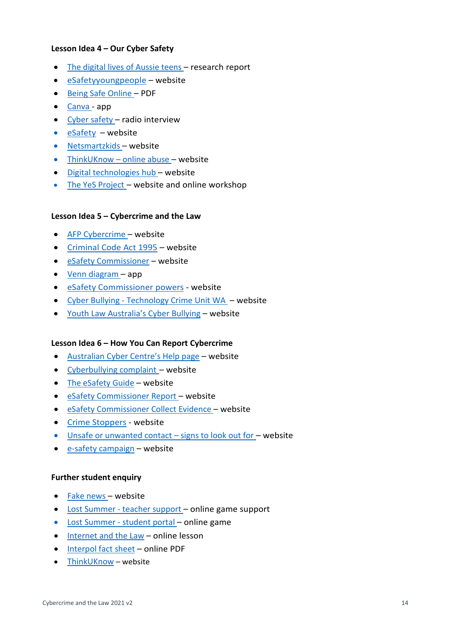## **Lesson Idea 4 – Our Cyber Safety**

- [The digital lives of Aussie teens](https://www.esafety.gov.au/sites/default/files/2021-02/The%20digital%20lives%20of%20Aussie%20teens.pdf) research report
- [eSafetyyoungpeople](https://www.esafety.gov.au/young-people) website
- [Being Safe Online](https://www.esafety.gov.au/sites/default/files/2020-02/Easy%20English-Being%20Safe%20Online.pdf) PDF
- [Canva](https://www.canva.com/create/posters) app
- [Cyber safety](https://www.abc.net.au/radio/programs/am/cyber-safety/13134766) radio interview
- [eSafety](https://www.esafety.gov.au/) website
- [Netsmartzkids](https://www.missingkids.org/netsmartz/topics) website
- ThinkUKnow [online abuse](https://www.thinkuknow.org.au/) website
- [Digital technologies hub](https://www.digitaltechnologieshub.edu.au/students/cybersafety) website
- [The YeS Project](https://www.esafety.gov.au/educators/classroom-resources/yes-project) website and online workshop

#### **Lesson Idea 5 – Cybercrime and the Law**

- [AFP Cybercrime](https://www.afp.gov.au/what-we-do/crime-types/cyber-crime) website
- [Criminal Code Act 1995](https://www.legislation.gov.au/Details/C2021C00183) website
- [eSafety Commissioner](https://www.esafety.gov.au/key-issues/image-based-abuse/legal-assistance/law-in-my-state-territory) website
- [Venn diagram](https://www.canva.com/graphs/venn-diagrams/) app
- [eSafety Commissioner powers](https://www.esafety.gov.au/about-us/who-we-are/our-legislative-functions) website
- Cyber Bullying [Technology Crime Unit WA](https://www.police.wa.gov.au/Crime/Technology-crime/Cyber-bullying)  website
- [Youth Law Australia's Cyber Bullying](https://yla.org.au/wa/topics/internet-phones-and-technology/cyber-bullying/) website

#### **Lesson Idea 6 – How You Can Report Cybercrime**

- [Australian Cyber Centre's Help page](https://www.cyber.gov.au/acsc/report/alternate-help) website
- [Cyberbullying complaint](https://www.esafety.gov.au/report) website
- [The eSafety Guide](https://www.esafety.gov.au/key-issues/esafety-guide) website
- [eSafety Commissioner Report](https://www.esafety.gov.au/report) website
- [eSafety Commissioner Collect Evidence](https://www.esafety.gov.au/key-issues/how-to/collect-evidence) website
- Crime [Stoppers](https://crimestoppers.com.au/about/) website
- [Unsafe or unwanted contact –](https://www.esafety.gov.au/young-people/unwanted-contact-signs) signs to look out for website
- $\bullet$  [e-safety campaign](https://crimestoppers.com.au/campaign/esafety/) website

#### **Further student enquiry**

- [Fake news](https://www.esafety.gov.au/young-people/fake-news) website
- Lost Summer [teacher support](https://www.esafety.gov.au/educators/classroom-resources/lost-summer/teacher-support) online game support
- Lost Summer [student portal](https://www.esafety.gov.au/educators/classroom-resources/lost-summer/student-home) online game
- [Internet and the Law](https://www.esafety.gov.au/educators/classroom-resources/internet-and-law) online lesson
- [Interpol fact sheet](https://www.crimestopperswa.com.au/cswp/wp-content/uploads/2020/05/Factsheet-INTERPOL-Global-Awareness-Campaign-on-COVID-19-Cyberthreats.pdf) online PDF
- [ThinkUKnow](https://www.thinkuknow.org.au/about/our-program) website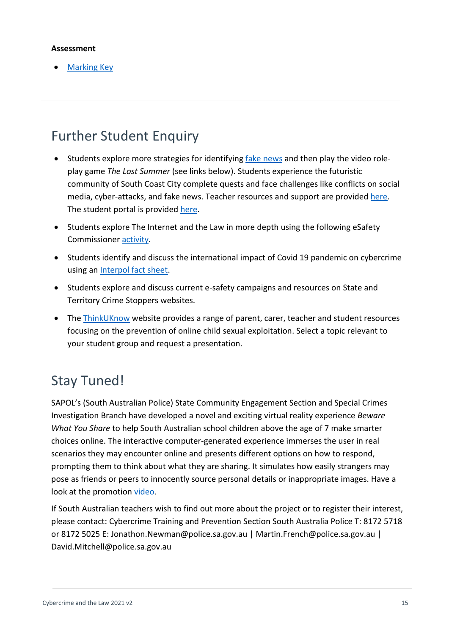## **Assessment**

• Marking [Key](https://www.crimestopperswa.com.au/cswp/wp-content/uploads/2021/08/Marking-key-Assessment-rubric-2021-final.pdf)

# Further Student Enquiry

- Students explore more strategies for identifying [fake news](https://www.esafety.gov.au/young-people/fake-news) and then play the video roleplay game *The Lost Summer* (see links below). Students experience the futuristic community of South Coast City complete quests and face challenges like conflicts on social media, cyber-attacks, and fake news. Teacher resources and support are provided [here.](https://www.esafety.gov.au/educators/classroom-resources/lost-summer/teacher-support) The student portal is provided [here.](https://www.esafety.gov.au/educators/classroom-resources/lost-summer/student-home)
- Students explore The Internet and the Law in more depth using the following eSafety Commissioner [activity.](https://www.esafety.gov.au/educators/classroom-resources/internet-and-law)
- Students identify and discuss the international impact of Covid 19 pandemic on cybercrime using a[n Interpol fact sheet.](https://www.crimestopperswa.com.au/cswp/wp-content/uploads/2020/05/Factsheet-INTERPOL-Global-Awareness-Campaign-on-COVID-19-Cyberthreats.pdf)
- Students explore and discuss current e-safety campaigns and resources on State and Territory Crime Stoppers websites.
- The [ThinkUKnow](https://www.thinkuknow.org.au/about/our-program) website provides a range of parent, carer, teacher and student resources focusing on the prevention of online child sexual exploitation. Select a topic relevant to your student group and request a presentation.

# Stay Tuned!

SAPOL's (South Australian Police) State Community Engagement Section and Special Crimes Investigation Branch have developed a novel and exciting virtual reality experience *Beware What You Share* to help South Australian school children above the age of 7 make smarter choices online. The interactive computer-generated experience immerses the user in real scenarios they may encounter online and presents different options on how to respond, prompting them to think about what they are sharing. It simulates how easily strangers may pose as friends or peers to innocently source personal details or inappropriate images. Have a look at the promotion [video.](https://vimeo.com/287955044)

If South Australian teachers wish to find out more about the project or to register their interest, please contact: Cybercrime Training and Prevention Section South Australia Police T: 8172 5718 or 8172 5025 E: Jonathon.Newman@police.sa.gov.au | Martin.French@police.sa.gov.au | David.Mitchell@police.sa.gov.au